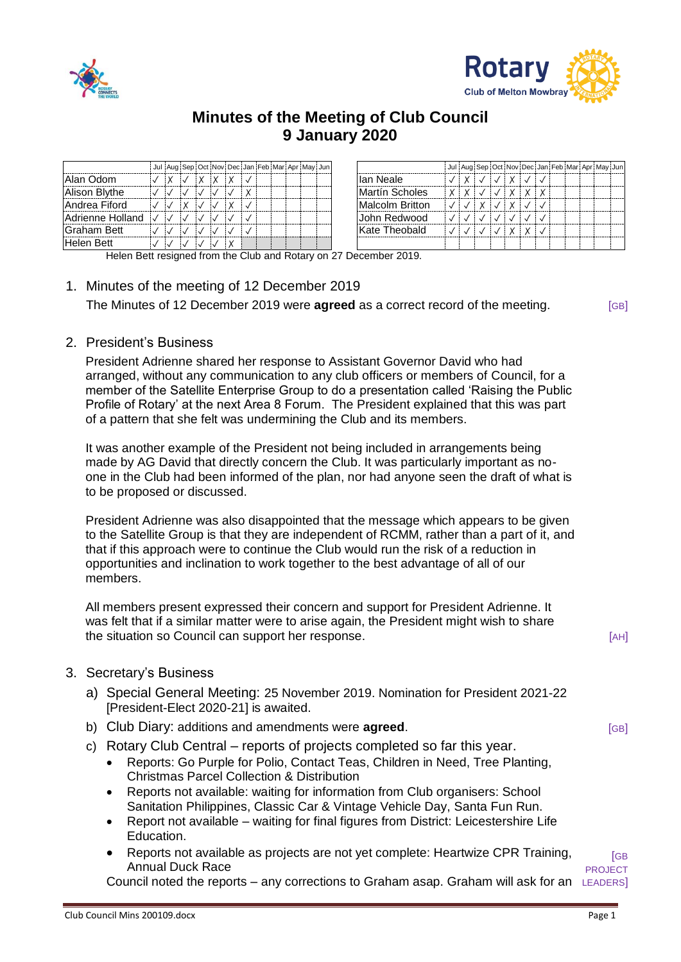



## **Minutes of the Meeting of Club Council 9 January 2020**

|                   |  |  | Jul Aug Sep Oct Nov Dec Jan Feb Mar Apr May Jun |  |  |  |                 |   |              |  |          |          |  | Jul Aug Sep Oct Nov Dec Jan Feb Mar Apr May Jun |  |  |
|-------------------|--|--|-------------------------------------------------|--|--|--|-----------------|---|--------------|--|----------|----------|--|-------------------------------------------------|--|--|
| IAlan Odom        |  |  |                                                 |  |  |  | llan Neale      |   |              |  | <b>Y</b> |          |  |                                                 |  |  |
| Alison Blythe     |  |  |                                                 |  |  |  | Martín Scholes  | X | $\checkmark$ |  | X        | <b>Y</b> |  |                                                 |  |  |
| Andrea Fiford     |  |  |                                                 |  |  |  | Malcolm Britton |   |              |  |          |          |  |                                                 |  |  |
| lAdrienne Holland |  |  |                                                 |  |  |  | John Redwood    |   |              |  |          |          |  |                                                 |  |  |
| lGraham Bett      |  |  |                                                 |  |  |  | Kate Theobald   |   |              |  |          |          |  |                                                 |  |  |
| Helen Bett        |  |  |                                                 |  |  |  |                 |   |              |  |          |          |  |                                                 |  |  |

Helen Bett resigned from the Club and Rotary on 27 December 2019.

1. Minutes of the meeting of 12 December 2019 The Minutes of 12 December 2019 were **agreed** as a correct record of the meeting. [GB]

2. President's Business

President Adrienne shared her response to Assistant Governor David who had arranged, without any communication to any club officers or members of Council, for a member of the Satellite Enterprise Group to do a presentation called 'Raising the Public Profile of Rotary' at the next Area 8 Forum. The President explained that this was part of a pattern that she felt was undermining the Club and its members.

It was another example of the President not being included in arrangements being made by AG David that directly concern the Club. It was particularly important as noone in the Club had been informed of the plan, nor had anyone seen the draft of what is to be proposed or discussed.

President Adrienne was also disappointed that the message which appears to be given to the Satellite Group is that they are independent of RCMM, rather than a part of it, and that if this approach were to continue the Club would run the risk of a reduction in opportunities and inclination to work together to the best advantage of all of our members.

All members present expressed their concern and support for President Adrienne. It was felt that if a similar matter were to arise again, the President might wish to share the situation so Council can support her response. [AH]  $[AH]$ 

- 3. Secretary's Business
	- a) Special General Meeting: 25 November 2019. Nomination for President 2021-22 [President-Elect 2020-21] is awaited.
	- b) Club Diary: additions and amendments were **agreed**.
	- c) Rotary Club Central reports of projects completed so far this year.
		- Reports: Go Purple for Polio, Contact Teas, Children in Need, Tree Planting, Christmas Parcel Collection & Distribution
		- Reports not available: waiting for information from Club organisers: School Sanitation Philippines, Classic Car & Vintage Vehicle Day, Santa Fun Run.
		- Report not available waiting for final figures from District: Leicestershire Life Education.
		- Reports not available as projects are not yet complete: Heartwize CPR Training, Annual Duck Race

Council noted the reports – any corrections to Graham asap. Graham will ask for an LEADERS] PROJECT

[GB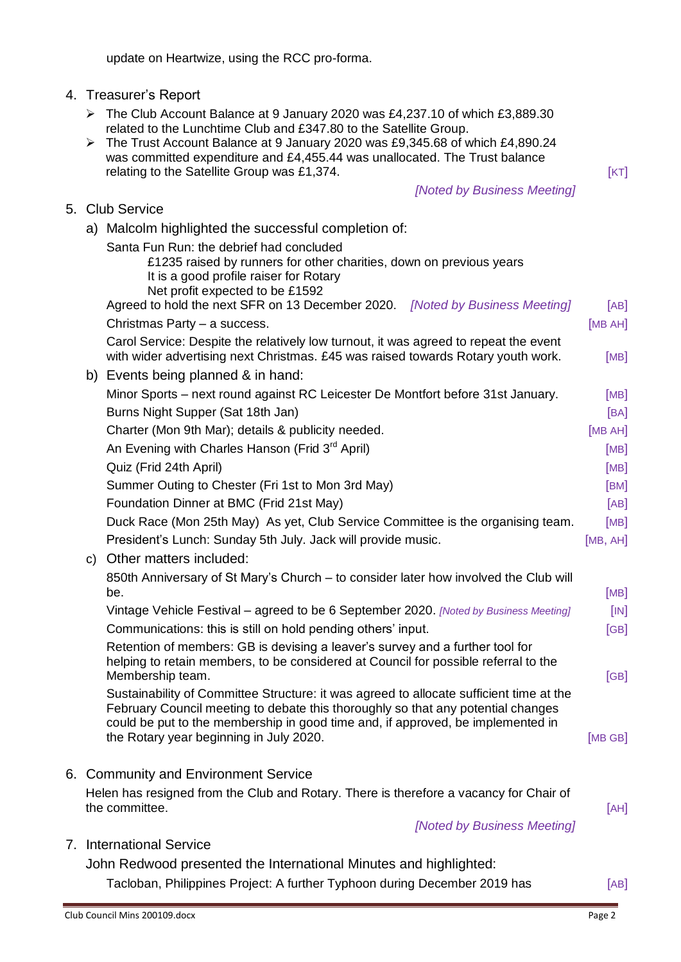c) Other matters included: 850th Anniversary of St Mary's Church – to consider later how involved the Club will be. [MB] Vintage Vehicle Festival – agreed to be 6 September 2020. *[Noted by Business Meeting]* [IN] Communications: this is still on hold pending others' input. [GB] Retention of members: GB is devising a leaver's survey and a further tool for helping to retain members, to be considered at Council for possible referral to the Membership team. [GB] and the state of the state of the state of the state of the state of the state of the state of the state of the state of the state of the state of the state of the state of the state of the state of t Sustainability of Committee Structure: it was agreed to allocate sufficient time at the February Council meeting to debate this thoroughly so that any potential changes could be put to the membership in good time and, if approved, be implemented in the Rotary year beginning in July 2020.[MB GB] 6. Community and Environment Service Helen has resigned from the Club and Rotary. There is therefore a vacancy for Chair of the committee. **Example 20 Contract 20 AH** is the committee. *[Noted by Business Meeting]*

## 7. International Service

John Redwood presented the International Minutes and highlighted: Tacloban, Philippines Project: A further Typhoon during December 2019 has [AB]

## update on Heartwize, using the RCC pro-forma.

a) Malcolm highlighted the successful completion of:

It is a good profile raiser for Rotary Net profit expected to be £1592

Santa Fun Run: the debrief had concluded

4. Treasurer's Report

5. Club Service

- The Club Account Balance at 9 January 2020 was £4,237.10 of which £3,889.30 related to the Lunchtime Club and £347.80 to the Satellite Group.
- The Trust Account Balance at 9 January 2020 was £9,345.68 of which £4,890.24 was committed expenditure and £4,455.44 was unallocated. The Trust balance relating to the Satellite Group was £1,374.  $[KT]$

£1235 raised by runners for other charities, down on previous years

Carol Service: Despite the relatively low turnout, it was agreed to repeat the event

Agreed to hold the next SFR on 13 December 2020. *[Noted by Business Meeting]* [AB] Christmas Party – a success. **Christmas Party – a success.** [MB AH]

with wider advertising next Christmas.  $£45$  was raised towards Rotary youth work.  $[MB]$ 

## *[Noted by Business Meeting]*

b) Events being planned & in hand: Minor Sports – next round against RC Leicester De Montfort before 31st January. [MB] Burns Night Supper (Sat 18th Jan) **[BA] Example 18th Jan Example 2014 EXA** Charter (Mon 9th Mar); details & publicity needed. <br>
[MB AH] An Evening with Charles Hanson (Frid  $3<sup>rd</sup>$  April)  $[MB]$ Quiz (Frid 24th April) [MB] Summer Outing to Chester (Fri 1st to Mon 3rd May) **[BM]** [BM] Foundation Dinner at BMC (Frid 21st May) **[AB]** [AB] Duck Race (Mon 25th May) As yet, Club Service Committee is the organising team. [MB] President's Lunch: Sunday 5th July. Jack will provide music. [MB, AH]